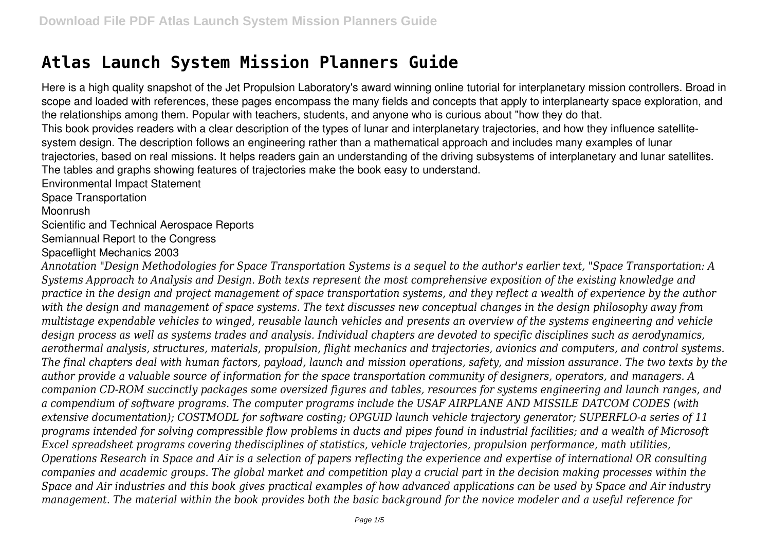## **Atlas Launch System Mission Planners Guide**

Here is a high quality snapshot of the Jet Propulsion Laboratory's award winning online tutorial for interplanetary mission controllers. Broad in scope and loaded with references, these pages encompass the many fields and concepts that apply to interplanearty space exploration, and the relationships among them. Popular with teachers, students, and anyone who is curious about "how they do that. This book provides readers with a clear description of the types of lunar and interplanetary trajectories, and how they influence satellitesystem design. The description follows an engineering rather than a mathematical approach and includes many examples of lunar trajectories, based on real missions. It helps readers gain an understanding of the driving subsystems of interplanetary and lunar satellites. The tables and graphs showing features of trajectories make the book easy to understand. Environmental Impact Statement

Space Transportation

Moonrush

Scientific and Technical Aerospace Reports

Semiannual Report to the Congress

Spaceflight Mechanics 2003

*Annotation "Design Methodologies for Space Transportation Systems is a sequel to the author's earlier text, "Space Transportation: A Systems Approach to Analysis and Design. Both texts represent the most comprehensive exposition of the existing knowledge and practice in the design and project management of space transportation systems, and they reflect a wealth of experience by the author with the design and management of space systems. The text discusses new conceptual changes in the design philosophy away from multistage expendable vehicles to winged, reusable launch vehicles and presents an overview of the systems engineering and vehicle design process as well as systems trades and analysis. Individual chapters are devoted to specific disciplines such as aerodynamics, aerothermal analysis, structures, materials, propulsion, flight mechanics and trajectories, avionics and computers, and control systems. The final chapters deal with human factors, payload, launch and mission operations, safety, and mission assurance. The two texts by the author provide a valuable source of information for the space transportation community of designers, operators, and managers. A companion CD-ROM succinctly packages some oversized figures and tables, resources for systems engineering and launch ranges, and a compendium of software programs. The computer programs include the USAF AIRPLANE AND MISSILE DATCOM CODES (with extensive documentation); COSTMODL for software costing; OPGUID launch vehicle trajectory generator; SUPERFLO-a series of 11 programs intended for solving compressible flow problems in ducts and pipes found in industrial facilities; and a wealth of Microsoft Excel spreadsheet programs covering thedisciplines of statistics, vehicle trajectories, propulsion performance, math utilities, Operations Research in Space and Air is a selection of papers reflecting the experience and expertise of international OR consulting companies and academic groups. The global market and competition play a crucial part in the decision making processes within the Space and Air industries and this book gives practical examples of how advanced applications can be used by Space and Air industry management. The material within the book provides both the basic background for the novice modeler and a useful reference for*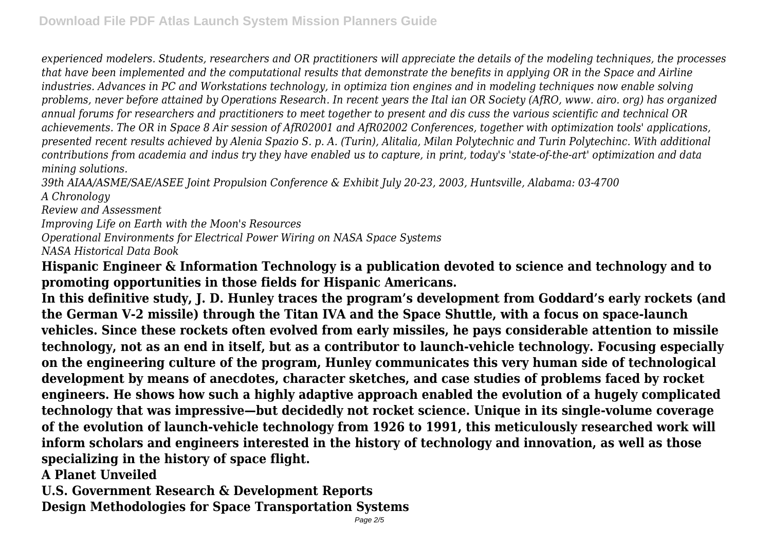*experienced modelers. Students, researchers and OR practitioners will appreciate the details of the modeling techniques, the processes that have been implemented and the computational results that demonstrate the benefits in applying OR in the Space and Airline industries. Advances in PC and Workstations technology, in optimiza tion engines and in modeling techniques now enable solving problems, never before attained by Operations Research. In recent years the Ital ian OR Society (AfRO, www. airo. org) has organized annual forums for researchers and practitioners to meet together to present and dis cuss the various scientific and technical OR achievements. The OR in Space 8 Air session of AfR02001 and AfR02002 Conferences, together with optimization tools' applications, presented recent results achieved by Alenia Spazio S. p. A. (Turin), Alitalia, Milan Polytechnic and Turin Polytechinc. With additional contributions from academia and indus try they have enabled us to capture, in print, today's 'state-of-the-art' optimization and data mining solutions.*

*39th AIAA/ASME/SAE/ASEE Joint Propulsion Conference & Exhibit July 20-23, 2003, Huntsville, Alabama: 03-4700 A Chronology*

*Review and Assessment*

*Improving Life on Earth with the Moon's Resources*

*Operational Environments for Electrical Power Wiring on NASA Space Systems*

*NASA Historical Data Book*

**Hispanic Engineer & Information Technology is a publication devoted to science and technology and to promoting opportunities in those fields for Hispanic Americans.**

**In this definitive study, J. D. Hunley traces the program's development from Goddard's early rockets (and the German V-2 missile) through the Titan IVA and the Space Shuttle, with a focus on space-launch vehicles. Since these rockets often evolved from early missiles, he pays considerable attention to missile technology, not as an end in itself, but as a contributor to launch-vehicle technology. Focusing especially on the engineering culture of the program, Hunley communicates this very human side of technological development by means of anecdotes, character sketches, and case studies of problems faced by rocket engineers. He shows how such a highly adaptive approach enabled the evolution of a hugely complicated technology that was impressive—but decidedly not rocket science. Unique in its single-volume coverage of the evolution of launch-vehicle technology from 1926 to 1991, this meticulously researched work will inform scholars and engineers interested in the history of technology and innovation, as well as those specializing in the history of space flight.**

**A Planet Unveiled**

**U.S. Government Research & Development Reports Design Methodologies for Space Transportation Systems**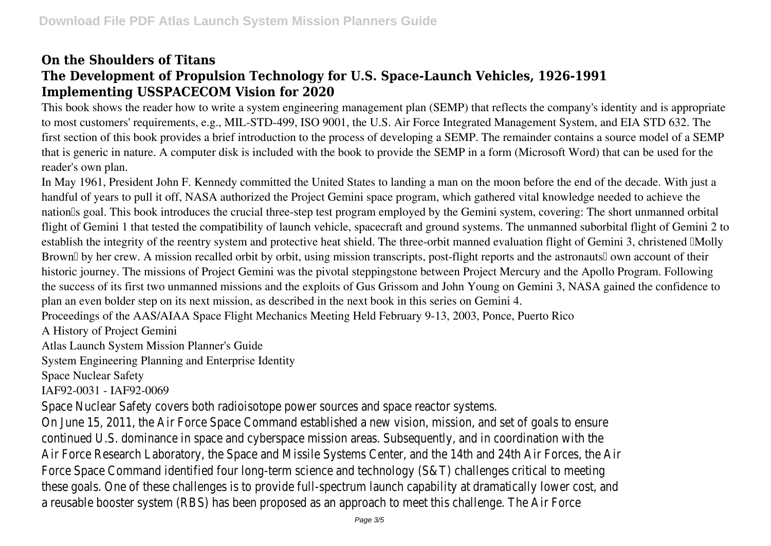## **On the Shoulders of Titans The Development of Propulsion Technology for U.S. Space-Launch Vehicles, 1926-1991 Implementing USSPACECOM Vision for 2020**

This book shows the reader how to write a system engineering management plan (SEMP) that reflects the company's identity and is appropriate to most customers' requirements, e.g., MIL-STD-499, ISO 9001, the U.S. Air Force Integrated Management System, and EIA STD 632. The first section of this book provides a brief introduction to the process of developing a SEMP. The remainder contains a source model of a SEMP that is generic in nature. A computer disk is included with the book to provide the SEMP in a form (Microsoft Word) that can be used for the reader's own plan.

In May 1961, President John F. Kennedy committed the United States to landing a man on the moon before the end of the decade. With just a handful of years to pull it off, NASA authorized the Project Gemini space program, which gathered vital knowledge needed to achieve the nation<sup>'s</sup> goal. This book introduces the crucial three-step test program employed by the Gemini system, covering: The short unmanned orbital flight of Gemini 1 that tested the compatibility of launch vehicle, spacecraft and ground systems. The unmanned suborbital flight of Gemini 2 to establish the integrity of the reentry system and protective heat shield. The three-orbit manned evaluation flight of Gemini 3, christened 'Molly Brown<sup>'</sup> by her crew. A mission recalled orbit by orbit, using mission transcripts, post-flight reports and the astronauts<sup>'</sup> own account of their historic journey. The missions of Project Gemini was the pivotal steppingstone between Project Mercury and the Apollo Program. Following the success of its first two unmanned missions and the exploits of Gus Grissom and John Young on Gemini 3, NASA gained the confidence to plan an even bolder step on its next mission, as described in the next book in this series on Gemini 4.

Proceedings of the AAS/AIAA Space Flight Mechanics Meeting Held February 9-13, 2003, Ponce, Puerto Rico

A History of Project Gemini

Atlas Launch System Mission Planner's Guide

System Engineering Planning and Enterprise Identity

Space Nuclear Safety

IAF92-0031 - IAF92-0069

Space Nuclear Safety covers both radioisotope power sources and space reactor On June 15, 2011, the Air Force Space Command established a new vision, mission continued U.S. dominance in space and cyberspace mission areas. Subsequently, and in contation with the subsequently, Air Force Research Laboratory, the Space and Missile Systems Center, and the 14th Air Forces, the Air Force Space Command identified four long-term science and technology (S&T) challenges comments correspondence to me these goals. One of these challenges is to provide full-spectrum launch capability a reusable booster system (RBS) has been proposed as an approach to meet this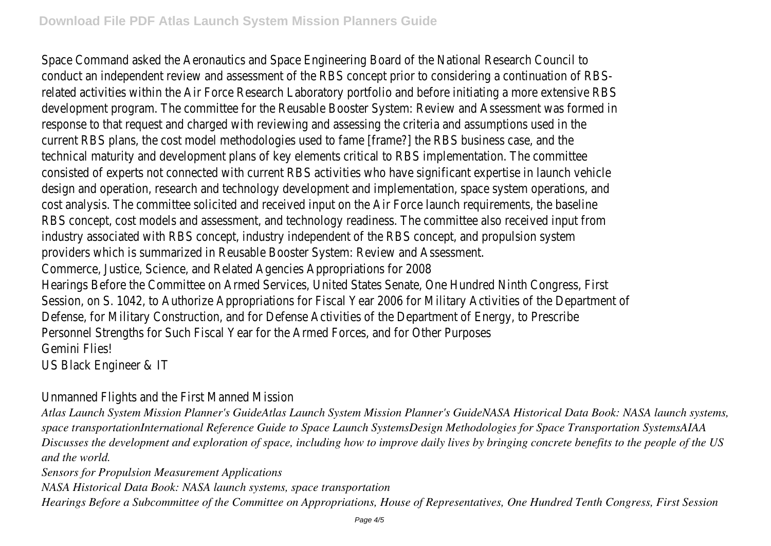Space Command asked the Aeronautics and Space Engineering Board of the National Research Council to Research Co conduct an independent review and assessment of the RBS concept prior to con related activities within the Air Force Research Laboratory portfolio and before in development program. The committee for the Reusable Booster System: Review and Assessment program. response to that request and charged with reviewing and assessing the criteria current RBS plans, the cost model methodologies used to fame [frame?] the RBS technical maturity and development plans of key elements critical to RBS implem consisted of experts not connected with current RBS activities who have signifi design and operation, research and technology development and implementation, cost analysis. The committee solicited and received input on the Air Force launch RBS concept, cost models and assessment, and technology readiness. The commi industry associated with RBS concept, industry independent of the RBS concept providers which is summarized in Reusable Booster System: Review and Assessm Commerce, Justice, Science, and Related Agencies Appropriations for 2008 Hearings Before the Committee on Armed Services, United States Senate, One Hi Session, on S. 1042, to Authorize Appropriations for Fiscal Year 2006 for Militar Defense, for Military Construction, and for Defense Activities of the Department Personnel Strengths for Such Fiscal Year for the Armed Forces, and for Other Purposes Gemini Flies!

US Black Engineer & IT

## Unmanned Flights and the First Manned Mission

*Atlas Launch System Mission Planner's GuideAtlas Launch System Mission Planner's GuideNASA Historical Data Book: NASA launch systems, space transportationInternational Reference Guide to Space Launch SystemsDesign Methodologies for Space Transportation SystemsAIAA Discusses the development and exploration of space, including how to improve daily lives by bringing concrete benefits to the people of the US and the world.*

*Sensors for Propulsion Measurement Applications*

*NASA Historical Data Book: NASA launch systems, space transportation*

*Hearings Before a Subcommittee of the Committee on Appropriations, House of Representatives, One Hundred Tenth Congress, First Session*